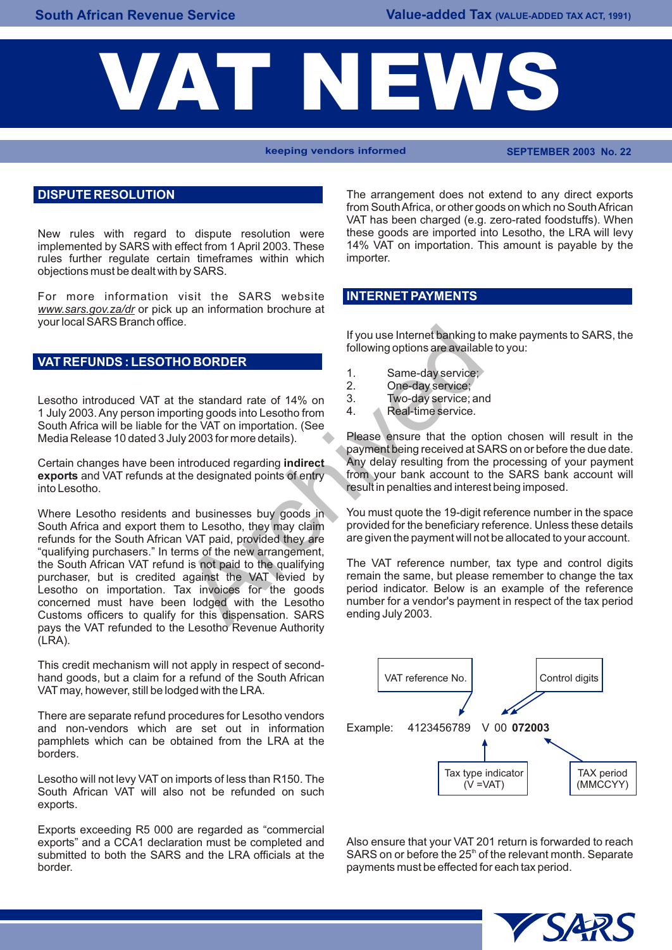# VAT

**keeping vendors informed SEPTEMBER 2003 No. 22**

#### **DISPUTE RESOLUTION**

New rules with regard to dispute resolution were these goods are imported into Lesotho, the LRA will levy<br>Implemented by SARS with effect from 1 April 2003, These 14% VAT on importation. This amount is pavable by the implemented by SARS with effect from 1 April 2003. These 14% VAT rules further requilate certain timeframes within which importer. rules further regulate certain timeframes within which objections must be dealt with by SARS.

For more information visit the SARS website *www.sars.gov.za/dr* or pick up an information brochure at your local SARS Branch office.

### **VAT REFUNDS : LESOTHO BORDER**

Lesotho introduced VAT at the standard rate of 14% on 3. Two-day service; and 1. Inly 2003 Any person importing goods into Lesotho from 4. 1 July 2003. Any person importing goods into Lesotho from South Africa will be liable for the VAT on importation. (See Media Release 10 dated 3 July 2003 for more details). Please ensure that the option chosen will result in the

**exports** and VAT refunds at the designated points of entry into Lesotho.

South Africa and export them to Lesotho, they may claim provided for the beneficiary reference. Unless these details<br>
refunds for the South African VAT paid provided they are are given the payment will not be allocated to refunds for the South African VAT paid, provided they are "qualifying purchasers." In terms of the new arrangement, the South African VAT refund is not paid to the qualifying The VAT reference number, tax type and control digits<br>purchaser but is credited against the VAT levied by remain the same, but please remember to change the tax purchaser, but is credited against the VAT levied by remain the same, but please remember to change the tax<br>Lesotho on importation. Tax invoices for the goods period indicator. Below is an example of the reference Lesotho on importation. Tax invoices for the goods period indicator. Below is an example of the reference concerned must have been lodged with the Lesotho number for a vendor's payment in respect of the tax period concerned must have been lodged with the Lesotho number for a vendore respect to a vent in respect of the tax periods. Customs officers to qualify for this dispensation. SARS pays the VAT refunded to the Lesotho Revenue Authority  $(LRA)$ . If you use Internet banking to<br>
following options are available<br>
1. Same-day service;<br>
the standard rate of 14% on<br>
2. One-day service;<br>
the standard rate of 14% on<br>
2. Two-day service;<br>
the VAT on importation. (See<br>
y 200

This credit mechanism will not apply in respect of secondhand goods, but a claim for a refund of the South African VAT may, however, still be lodged with the LRA.

There are separate refund procedures for Lesotho vendors and non-vendors which are set out in information Example: 4123456789 V 00 **072003** pamphlets which can be obtained from the LRA at the borders.

Lesotho will not levy VAT on imports of less than R150. The South African VAT will also not be refunded on such exports.

Exports exceeding R5 000 are regarded as "commercial exports" and a CCA1 declaration must be completed and Also ensure that your VAT 201 return is forwarded to reach<br>submitted to both the SARS and the LRA officials at the SARS on or before the 25<sup>th</sup> of the relevant month. S border. payments must be effected for each tax period.

The arrangement does not extend to any direct exports from South Africa, or other goods on which no South African VAT has been charged (e.g. zero-rated foodstuffs). When these goods are imported into Lesotho, the LRA will levy

#### **INTERNET PAYMENTS**

If you use Internet banking to make payments to SARS, the following options are available to you:

- 1. Same-day service;
- 2. One-day service;
- 
- 

payment being received at SARS on or before the due date.<br>Any delay resulting from the processing of your payment Certain changes have been introduced regarding **indirect** Any delay resulting from the processing of your payment **exports** and VAT refunds at the designated points of entry from your bank account to the SARS bank account result in penalties and interest being imposed.

Where Lesotho residents and businesses buy goods in You must quote the 19-digit reference number in the space<br>South Africa and export them to Lesotho, they may claim provided for the beneficiary reference. Unless these det



SARS on or before the 25<sup>th</sup> of the relevant month. Separate